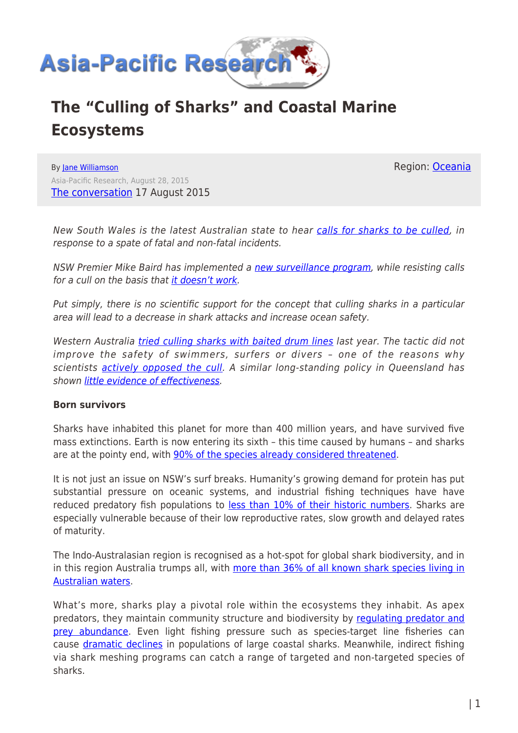

# **The "Culling of Sharks" and Coastal Marine Ecosystems**

By [Jane Williamson](https://www.asia-pacificresearch.com/author/jane-williamson) Asia-Pacific Research, August 28, 2015 [The conversation](http://theconversation.com/mike-baird-is-right-culling-sharks-doesnt-work-heres-what-we-can-do-instead-46195) 17 August 2015 Region: [Oceania](https://www.asia-pacificresearch.com/region/as-oceania)

New South Wales is the latest Australian state to hear [calls for sharks to be culled,](http://www.dailytelegraph.com.au/news/opinion/when-sharks-are-eating-people-its-time-to-cull/story-fni0cwl5-1227477741452) in response to a spate of fatal and non-fatal incidents.

NSW Premier Mike Baird has implemented a [new surveillance program,](http://www.abc.net.au/news/2015-08-14/nsw-launches-shark-tagging-surveillance-in-wake-of-attacks/6696392) while resisting calls for a cull on the basis that [it doesn't work.](http://www.abc.net.au/news/2015-08-14/mike-baird-weighs-in-as-shark-alarm-closes-bondi-again/6698876)

Put simply, there is no scientific support for the concept that culling sharks in a particular area will lead to a decrease in shark attacks and increase ocean safety.

Western Australia [tried culling sharks with baited drum lines](https://theconversation.com/western-australian-shark-cull-policy-dumped-experts-react-31621) last year. The tactic did not improve the safety of swimmers, surfers or divers – one of the reasons why scientists [actively opposed the cull.](https://theconversation.com/why-were-opposing-western-australias-shark-cull-scientists-28653) A similar long-standing policy in Queensland has shown [little evidence of effectiveness](https://theconversation.com/has-queensland-really-saved-lives-by-killing-thousands-of-sharks-23437).

#### **Born survivors**

Sharks have inhabited this planet for more than 400 million years, and have survived five mass extinctions. Earth is now entering its sixth – this time caused by humans – and sharks are at the pointy end, with [90% of the species already considered threatened](http://www.ncbi.nlm.nih.gov/pmc/articles/PMC3897121/).

It is not just an issue on NSW's surf breaks. Humanity's growing demand for protein has put substantial pressure on oceanic systems, and industrial fishing techniques have have reduced predatory fish populations to [less than 10% of their historic numbers.](http://www.sciencedirect.com/science/article/pii/S0308597X13000055) Sharks are especially vulnerable because of their low reproductive rates, slow growth and delayed rates of maturity.

The Indo-Australasian region is recognised as a hot-spot for global shark biodiversity, and in in this region Australia trumps all, with [more than 36% of all known shark species living in](http://www.publish.csiro.au/pid/5960.htm) [Australian waters.](http://www.publish.csiro.au/pid/5960.htm)

What's more, sharks play a pivotal role within the ecosystems they inhabit. As apex predators, they maintain community structure and biodiversity by requiating predator and [prey abundance](http://onlinelibrary.wiley.com/doi/10.1111/j.1461-0248.2009.01347.x/epdf). Even light fishing pressure such as species-target line fisheries can cause [dramatic declines](http://onlinelibrary.wiley.com/doi/10.1111/j.1461-0248.2010.01489.x/epdf) in populations of large coastal sharks. Meanwhile, indirect fishing via shark meshing programs can catch a range of targeted and non-targeted species of sharks.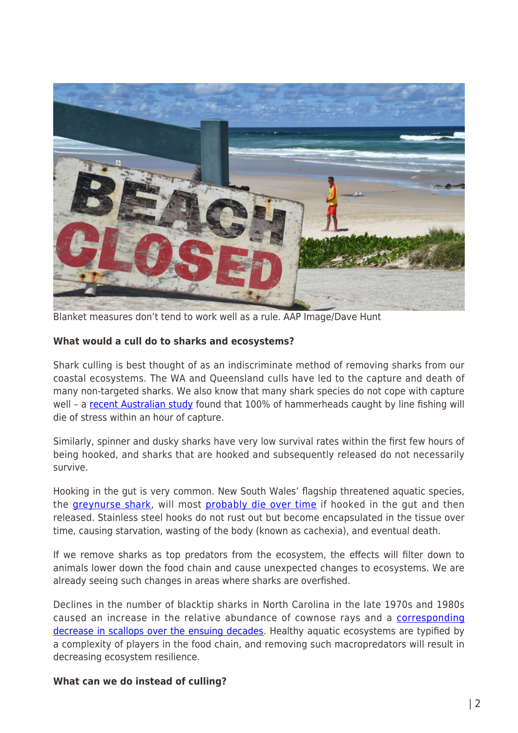

Blanket measures don't tend to work well as a rule. AAP Image/Dave Hunt

### **What would a cull do to sharks and ecosystems?**

Shark culling is best thought of as an indiscriminate method of removing sharks from our coastal ecosystems. The WA and Queensland culls have led to the capture and death of many non-targeted sharks. We also know that many shark species do not cope with capture well - a [recent Australian study](http://www.sciencedirect.com/science/article/pii/S2351989415000487) found that 100% of hammerheads caught by line fishing will die of stress within an hour of capture.

Similarly, spinner and dusky sharks have very low survival rates within the first few hours of being hooked, and sharks that are hooked and subsequently released do not necessarily survive.

Hooking in the gut is very common. New South Wales' flagship threatened aquatic species, the [greynurse shark,](http://www.dpi.nsw.gov.au/fisheries/species-protection/conservation/what-current/critically/grey-nurse-shark) will most [probably die over time](http://www.abc.net.au/news/2015-06-02/critically-endangered-grey-nurse-shark-the-focus-of-dpi-research/6514008) if hooked in the gut and then released. Stainless steel hooks do not rust out but become encapsulated in the tissue over time, causing starvation, wasting of the body (known as cachexia), and eventual death.

If we remove sharks as top predators from the ecosystem, the effects will filter down to animals lower down the food chain and cause unexpected changes to ecosystems. We are already seeing such changes in areas where sharks are overfished.

Declines in the number of blacktip sharks in North Carolina in the late 1970s and 1980s caused an increase in the relative abundance of cownose rays and a [corresponding](http://www.lenfestocean.org/~/media/legacy/Lenfest/PDFs/Heithaus_Top_predator_declines_article.pdf?la=en) [decrease in scallops over the ensuing decades.](http://www.lenfestocean.org/~/media/legacy/Lenfest/PDFs/Heithaus_Top_predator_declines_article.pdf?la=en) Healthy aquatic ecosystems are typified by a complexity of players in the food chain, and removing such macropredators will result in decreasing ecosystem resilience.

## **What can we do instead of culling?**